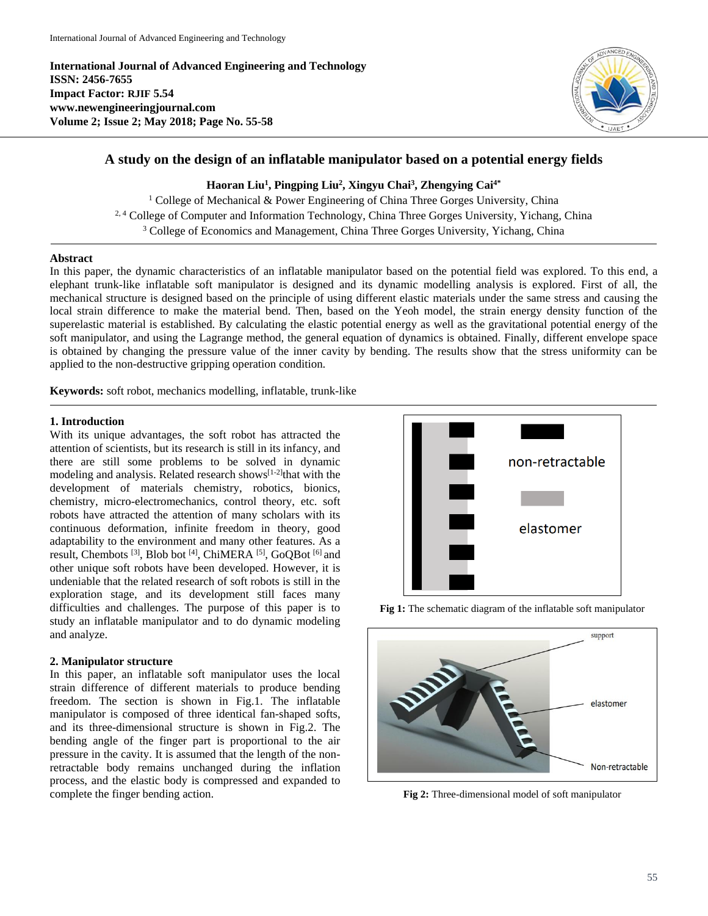**International Journal of Advanced Engineering and Technology ISSN: 2456-7655 Impact Factor: RJIF 5.54 www.newengineeringjournal.com Volume 2; Issue 2; May 2018; Page No. 55-58**



# **A study on the design of an inflatable manipulator based on a potential energy fields**

**Haoran Liu<sup>1</sup> , Pingping Liu<sup>2</sup> , Xingyu Chai<sup>3</sup> , Zhengying Cai4\***

<sup>1</sup> College of Mechanical & Power Engineering of China Three Gorges University, China <sup>2, 4</sup> College of Computer and Information Technology, China Three Gorges University, Yichang, China <sup>3</sup> College of Economics and Management, China Three Gorges University, Yichang, China

### **Abstract**

In this paper, the dynamic characteristics of an inflatable manipulator based on the potential field was explored. To this end, a elephant trunk-like inflatable soft manipulator is designed and its dynamic modelling analysis is explored. First of all, the mechanical structure is designed based on the principle of using different elastic materials under the same stress and causing the local strain difference to make the material bend. Then, based on the Yeoh model, the strain energy density function of the superelastic material is established. By calculating the elastic potential energy as well as the gravitational potential energy of the soft manipulator, and using the Lagrange method, the general equation of dynamics is obtained. Finally, different envelope space is obtained by changing the pressure value of the inner cavity by bending. The results show that the stress uniformity can be applied to the non-destructive gripping operation condition.

**Keywords:** soft robot, mechanics modelling, inflatable, trunk-like

### **1. Introduction**

With its unique advantages, the soft robot has attracted the attention of scientists, but its research is still in its infancy, and there are still some problems to be solved in dynamic modeling and analysis. Related research shows $[1-2]$ that with the development of materials chemistry, robotics, bionics, chemistry, micro-electromechanics, control theory, etc. soft robots have attracted the attention of many scholars with its continuous deformation, infinite freedom in theory, good adaptability to the environment and many other features. As a result, Chembots<sup>[3]</sup>, Blob bot<sup>[4]</sup>, ChiMERA<sup>[5]</sup>, GoQBot<sup>[6]</sup> and other unique soft robots have been developed. However, it is undeniable that the related research of soft robots is still in the exploration stage, and its development still faces many difficulties and challenges. The purpose of this paper is to study an inflatable manipulator and to do dynamic modeling and analyze.

### **2. Manipulator structure**

In this paper, an inflatable soft manipulator uses the local strain difference of different materials to produce bending freedom. The section is shown in Fig.1. The inflatable manipulator is composed of three identical fan-shaped softs, and its three-dimensional structure is shown in Fig.2. The bending angle of the finger part is proportional to the air pressure in the cavity. It is assumed that the length of the nonretractable body remains unchanged during the inflation process, and the elastic body is compressed and expanded to complete the finger bending action.





**Fig 1:** The schematic diagram of the inflatable soft manipulator

**Fig 2:** Three-dimensional model of soft manipulator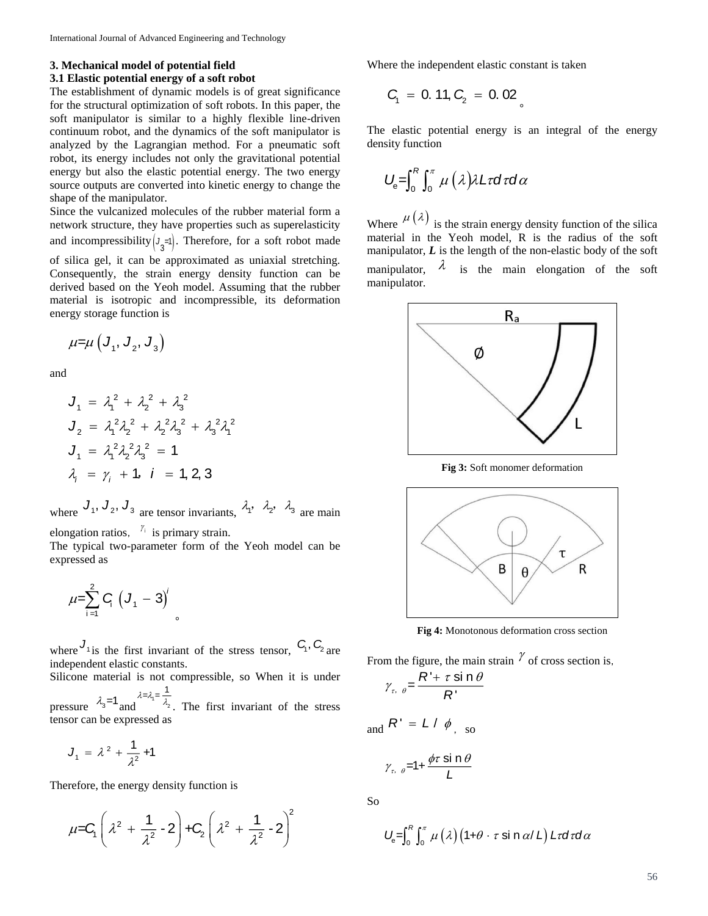### **3. Mechanical model of potential field**

#### **3.1 Elastic potential energy of a soft robot**

The establishment of dynamic models is of great significance for the structural optimization of soft robots. In this paper, the soft manipulator is similar to a highly flexible line-driven continuum robot, and the dynamics of the soft manipulator is analyzed by the Lagrangian method. For a pneumatic soft robot, its energy includes not only the gravitational potential energy but also the elastic potential energy. The two energy source outputs are converted into kinetic energy to change the shape of the manipulator.

Since the vulcanized molecules of the rubber material form a network structure, they have properties such as superelasticity and incompressibility  $\left( \frac{J_3}{\epsilon_1} \right)$ . Therefore, for a soft robot made

of silica gel, it can be approximated as uniaxial stretching. Consequently, the strain energy density function can be derived based on the Yeoh model. Assuming that the rubber material is isotropic and incompressible, its deformation energy storage function is

$$
\mu=\mu\left(J_{1}, J_{2}, J_{3}\right)
$$

and

$$
J_1 = \lambda_1^2 + \lambda_2^2 + \lambda_3^2
$$
  
\n
$$
J_2 = \lambda_1^2 \lambda_2^2 + \lambda_2^2 \lambda_3^2 + \lambda_3^2 \lambda_1^2
$$
  
\n
$$
J_1 = \lambda_1^2 \lambda_2^2 \lambda_3^2 = 1
$$
  
\n
$$
\lambda_i = \gamma_i + 1, \quad i = 1, 2, 3
$$

where  $J_1$ ,  $J_2$ ,  $J_3$  are tensor invariants,  $\lambda_1$ ,  $\lambda_2$ ,  $\lambda_3$  are main

elongation ratios,  $\frac{\gamma_i}{\gamma}$  is primary strain.

The typical two-parameter form of the Yeoh model can be expressed as

$$
\mu = \sum_{i=1}^{2} G_i \left( J_1 - 3 \right)^i
$$

where  $J_1$  is the first invariant of the stress tensor,  $C_1$ ,  $C_2$  are independent elastic constants.

。

Silicone material is not compressible, so When it is under 1

pressure  $\lambda_3 = 1$  and  $\lambda = \lambda_1 = \frac{1}{2}$ 2  $\lambda_2$ . The first invariant of the stress tensor can be expressed as

$$
J_1 = \lambda^2 + \frac{1}{\lambda^2} + 1
$$

Therefore, the energy density function is

$$
\mu = C_1 \left( \lambda^2 + \frac{1}{\lambda^2} - 2 \right) + C_2 \left( \lambda^2 + \frac{1}{\lambda^2} - 2 \right)^2
$$

Where the independent elastic constant is taken

$$
C_1 = 0.11, C_2 = 0.02
$$

The elastic potential energy is an integral of the energy density function

$$
U_{\rm e}=\int_0^R\int_0^{\pi}\mu\left(\lambda\right)\lambda L\tau d\tau d\alpha
$$

Where  $\mu(\lambda)$  is the strain energy density function of the silica material in the Yeoh model, R is the radius of the soft manipulator, *L* is the length of the non-elastic body of the soft manipulator,  $\lambda$  is the main elongation of the soft manipulator.



**Fig 3:** Soft monomer deformation



**Fig 4:** Monotonous deformation cross section

From the figure, the main strain  $\gamma$  of cross section is,

$$
\gamma_{\tau, \theta} = \frac{R' + \tau \sin \theta}{R'}
$$
  
d $R' = L / \phi_{\text{SLO}}$ 

$$
\gamma_{\tau, \theta} = 1 + \frac{\phi \tau \sin \theta}{L}
$$

So

and

$$
U_{\rm e} = \int_0^R \int_0^{\pi} \mu(\lambda) \left(1 + \theta \cdot \tau \sin \alpha / L\right) L \tau d\tau d\alpha
$$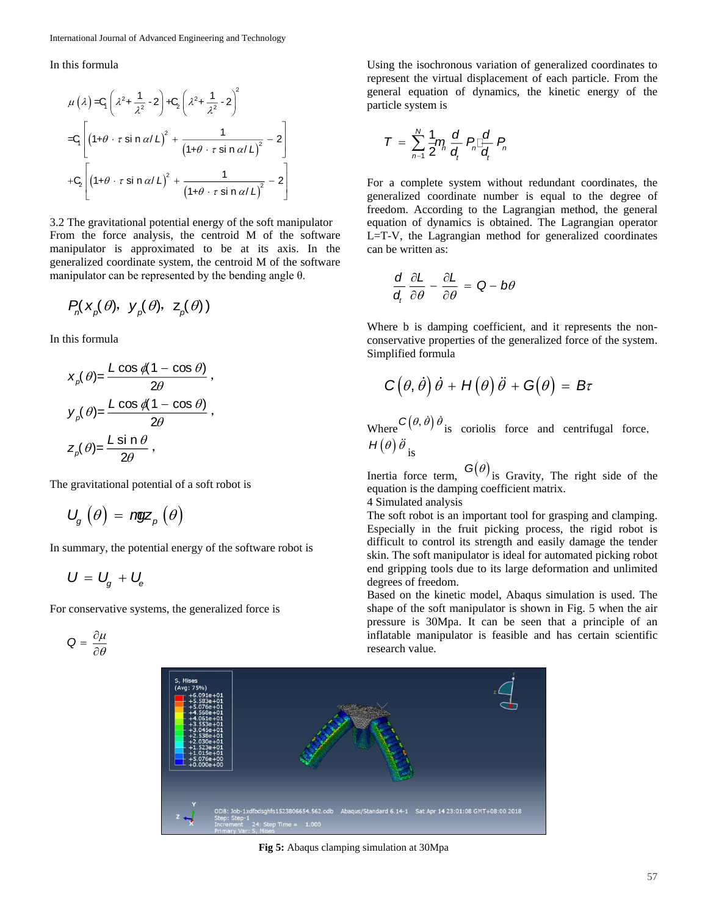In this formula

$$
\mu(\lambda) = C_1 \left( \lambda^2 + \frac{1}{\lambda^2} - 2 \right) + C_2 \left( \lambda^2 + \frac{1}{\lambda^2} - 2 \right)^2
$$
  
\n
$$
= C_1 \left[ \left( 1 + \theta \cdot \tau \sin \alpha / L \right)^2 + \frac{1}{\left( 1 + \theta \cdot \tau \sin \alpha / L \right)^2} - 2 \right]
$$
  
\n
$$
+ C_2 \left[ \left( 1 + \theta \cdot \tau \sin \alpha / L \right)^2 + \frac{1}{\left( 1 + \theta \cdot \tau \sin \alpha / L \right)^2} - 2 \right]
$$

3.2 The gravitational potential energy of the soft manipulator From the force analysis, the centroid M of the software manipulator is approximated to be at its axis. In the generalized coordinate system, the centroid M of the software manipulator can be represented by the bending angle θ.

$$
P_n(x_p(\theta), y_p(\theta), z_p(\theta))
$$

In this formula

$$
x_{\rho}(\theta) = \frac{L \cos \theta (1 - \cos \theta)}{2\theta},
$$
  
\n
$$
y_{\rho}(\theta) = \frac{L \cos \theta (1 - \cos \theta)}{2\theta},
$$
  
\n
$$
z_{\rho}(\theta) = \frac{L \sin \theta}{2\theta},
$$

The gravitational potential of a soft robot is

$$
U_{g}(\theta) = \text{ngz}_{p}(\theta)
$$

In summary, the potential energy of the software robot is

$$
U = U_g + U_e
$$

For conservative systems, the generalized force is

$$
Q = \frac{\partial \mu}{\partial \theta}
$$

Using the isochronous variation of generalized coordinates to represent the virtual displacement of each particle. From the general equation of dynamics, the kinetic energy of the particle system is

$$
T = \sum_{n=1}^N \frac{1}{2} \eta_n \frac{d}{d_i} P_n \Box \frac{d}{d_i} P_n
$$

For a complete system without redundant coordinates, the generalized coordinate number is equal to the degree of freedom. According to the Lagrangian method, the general equation of dynamics is obtained. The Lagrangian operator L=T-V, the Lagrangian method for generalized coordinates can be written as:

$$
\frac{d}{d_t} \frac{\partial L}{\partial \theta} - \frac{\partial L}{\partial \theta} = Q - b\theta
$$

Where b is damping coefficient, and it represents the nonconservative properties of the generalized force of the system. Simplified formula

$$
C(\theta, \dot{\theta})\dot{\theta} + H(\theta)\ddot{\theta} + G(\theta) = B\tau
$$

Where  $C(\theta, \dot{\theta}) \dot{\theta}$  is coriolis force and centrifugal force,  $H(\theta)$   $\ddot{\theta}$  <sub>is</sub>

Inertia force term,  $G(\theta)$  is Gravity, The right side of the equation is the damping coefficient matrix.

4 Simulated analysis

The soft robot is an important tool for grasping and clamping. Especially in the fruit picking process, the rigid robot is difficult to control its strength and easily damage the tender skin. The soft manipulator is ideal for automated picking robot end gripping tools due to its large deformation and unlimited degrees of freedom.

Based on the kinetic model, Abaqus simulation is used. The shape of the soft manipulator is shown in Fig. 5 when the air pressure is 30Mpa. It can be seen that a principle of an inflatable manipulator is feasible and has certain scientific research value.



**Fig 5:** Abaqus clamping simulation at 30Mpa